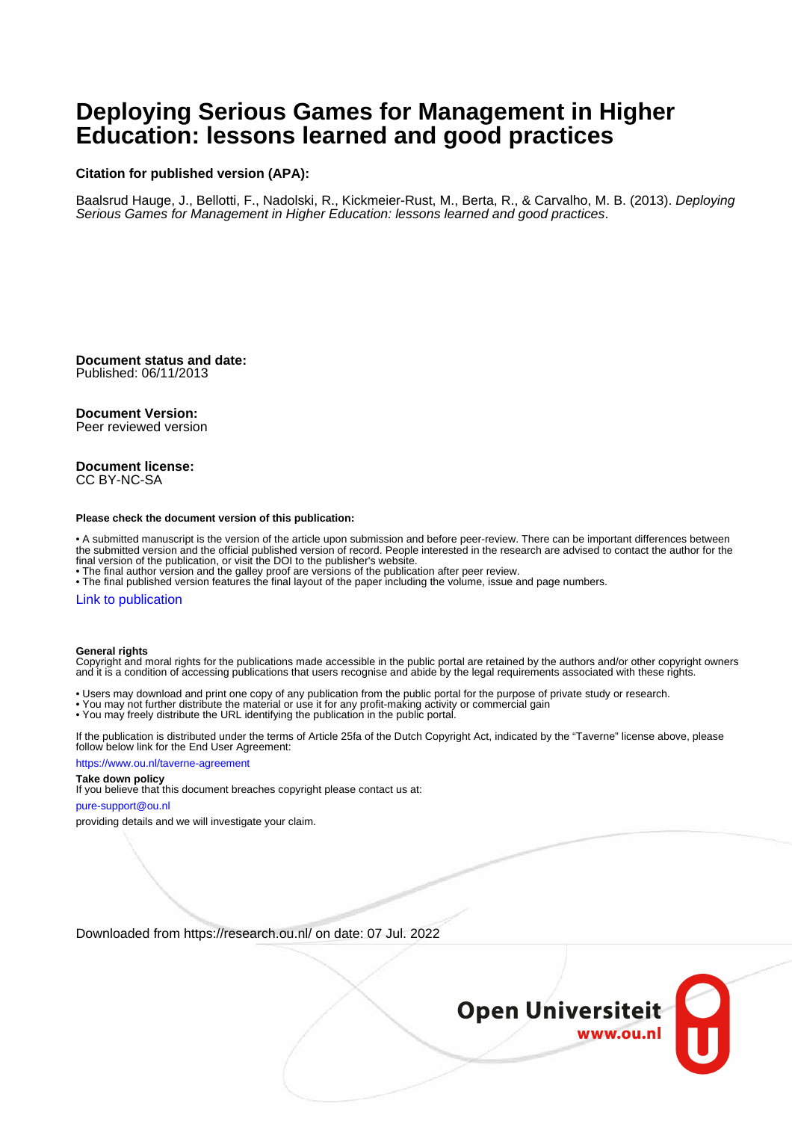# **Deploying Serious Games for Management in Higher Education: lessons learned and good practices**

#### **Citation for published version (APA):**

Baalsrud Hauge, J., Bellotti, F., Nadolski, R., Kickmeier-Rust, M., Berta, R., & Carvalho, M. B. (2013). Deploying Serious Games for Management in Higher Education: lessons learned and good practices.

**Document status and date:** Published: 06/11/2013

#### **Document Version:**

Peer reviewed version

#### **Document license:** CC BY-NC-SA

#### **Please check the document version of this publication:**

• A submitted manuscript is the version of the article upon submission and before peer-review. There can be important differences between the submitted version and the official published version of record. People interested in the research are advised to contact the author for the final version of the publication, or visit the DOI to the publisher's website.

• The final author version and the galley proof are versions of the publication after peer review.

• The final published version features the final layout of the paper including the volume, issue and page numbers.

#### [Link to publication](https://research.ou.nl/en/publications/8e4fd08d-3d89-42fc-a7ca-7362f0a2cf36)

#### **General rights**

Copyright and moral rights for the publications made accessible in the public portal are retained by the authors and/or other copyright owners and it is a condition of accessing publications that users recognise and abide by the legal requirements associated with these rights.

- Users may download and print one copy of any publication from the public portal for the purpose of private study or research.
- You may not further distribute the material or use it for any profit-making activity or commercial gain
- You may freely distribute the URL identifying the publication in the public portal.

If the publication is distributed under the terms of Article 25fa of the Dutch Copyright Act, indicated by the "Taverne" license above, please follow below link for the End User Agreement:

#### https://www.ou.nl/taverne-agreement

## **Take down policy**

If you believe that this document breaches copyright please contact us at:

#### pure-support@ou.nl

providing details and we will investigate your claim.

Downloaded from https://research.ou.nl/ on date: 07 Jul. 2022

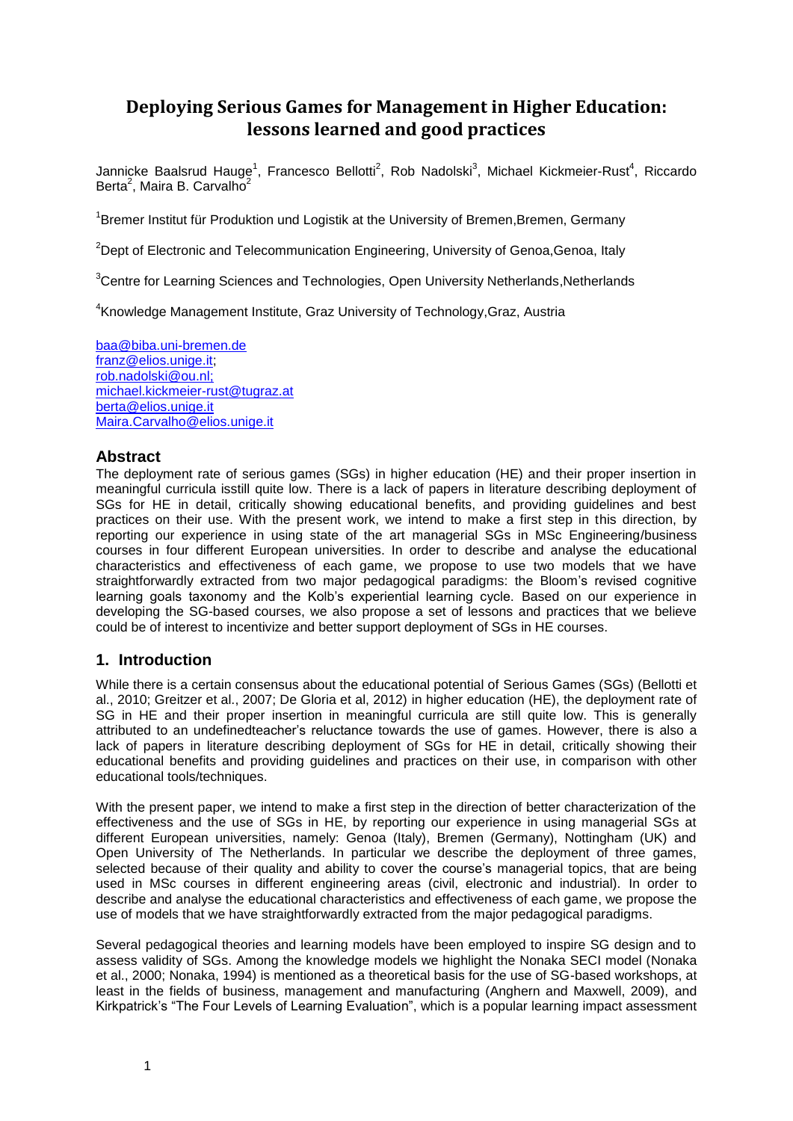# **Deploying Serious Games for Management in Higher Education: lessons learned and good practices**

Jannicke Baalsrud Hauge<sup>1</sup>, Francesco Bellotti<sup>2</sup>, Rob Nadolski<sup>3</sup>, Michael Kickmeier-Rust<sup>4</sup>, Riccardo Berta<sup>2</sup>, Maira B. Carvalho<sup>2</sup>

<sup>1</sup>Bremer Institut für Produktion und Logistik at the University of Bremen, Bremen, Germany

 $2$ Dept of Electronic and Telecommunication Engineering, University of Genoa, Genoa, Italy

<sup>3</sup>Centre for Learning Sciences and Technologies, Open University Netherlands, Netherlands

4 Knowledge Management Institute, Graz University of Technology,Graz, Austria

baa@biba.uni-bremen.de [franz@elios.unige.it;](mailto:franz@elios.unige.it) rob.nadolski@ou.nl; [michael.kickmeier-rust@tugraz.at](mailto:michael.kickmeier-rust@tugraz.at) berta@elios.unige.it Maira.Carvalho@elios.unige.it

# **Abstract**

The deployment rate of serious games (SGs) in higher education (HE) and their proper insertion in meaningful curricula isstill quite low. There is a lack of papers in literature describing deployment of SGs for HE in detail, critically showing educational benefits, and providing guidelines and best practices on their use. With the present work, we intend to make a first step in this direction, by reporting our experience in using state of the art managerial SGs in MSc Engineering/business courses in four different European universities. In order to describe and analyse the educational characteristics and effectiveness of each game, we propose to use two models that we have straightforwardly extracted from two major pedagogical paradigms: the Bloom's revised cognitive learning goals taxonomy and the Kolb's experiential learning cycle. Based on our experience in developing the SG-based courses, we also propose a set of lessons and practices that we believe could be of interest to incentivize and better support deployment of SGs in HE courses.

# **1. Introduction**

While there is a certain consensus about the educational potential of Serious Games (SGs) (Bellotti et al., 2010; Greitzer et al., 2007; De Gloria et al, 2012) in higher education (HE), the deployment rate of SG in HE and their proper insertion in meaningful curricula are still quite low. This is generally attributed to an undefinedteacher's reluctance towards the use of games. However, there is also a lack of papers in literature describing deployment of SGs for HE in detail, critically showing their educational benefits and providing guidelines and practices on their use, in comparison with other educational tools/techniques.

With the present paper, we intend to make a first step in the direction of better characterization of the effectiveness and the use of SGs in HE, by reporting our experience in using managerial SGs at different European universities, namely: Genoa (Italy), Bremen (Germany), Nottingham (UK) and Open University of The Netherlands. In particular we describe the deployment of three games, selected because of their quality and ability to cover the course's managerial topics, that are being used in MSc courses in different engineering areas (civil, electronic and industrial). In order to describe and analyse the educational characteristics and effectiveness of each game, we propose the use of models that we have straightforwardly extracted from the major pedagogical paradigms.

Several pedagogical theories and learning models have been employed to inspire SG design and to assess validity of SGs. Among the knowledge models we highlight the Nonaka SECI model (Nonaka et al., 2000; Nonaka, 1994) is mentioned as a theoretical basis for the use of SG-based workshops, at least in the fields of business, management and manufacturing (Anghern and Maxwell, 2009), and Kirkpatrick's "The Four Levels of Learning Evaluation", which is a popular learning impact assessment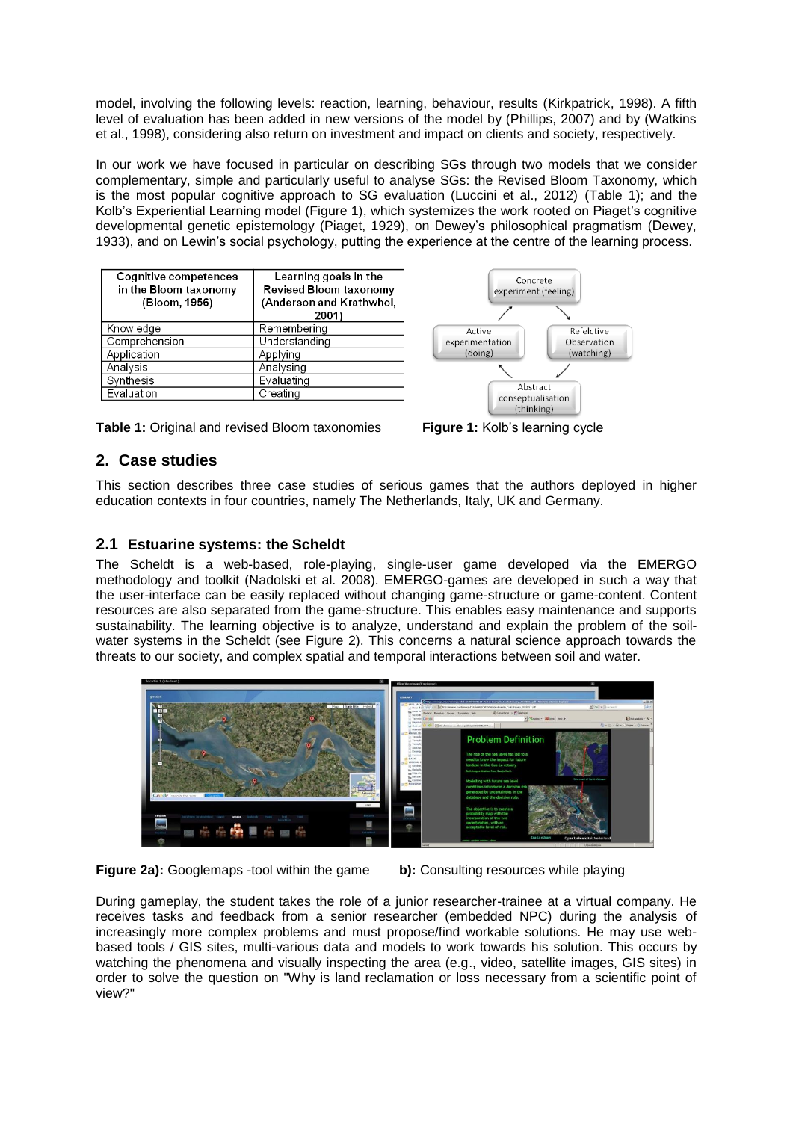model, involving the following levels: reaction, learning, behaviour, results (Kirkpatrick, 1998). A fifth level of evaluation has been added in new versions of the model by (Phillips, 2007) and by (Watkins et al., 1998), considering also return on investment and impact on clients and society, respectively.

In our work we have focused in particular on describing SGs through two models that we consider complementary, simple and particularly useful to analyse SGs: the Revised Bloom Taxonomy, which is the most popular cognitive approach to SG evaluation (Luccini et al., 2012) (Table 1); and the Kolb's Experiential Learning model (Figure 1), which systemizes the work rooted on Piaget's cognitive developmental genetic epistemology (Piaget, 1929), on Dewey's philosophical pragmatism (Dewey, 1933), and on Lewin's social psychology, putting the experience at the centre of the learning process.

| <b>Cognitive competences</b><br>in the Bloom taxonomy<br>(Bloom, 1956) | Learning goals in the<br><b>Revised Bloom taxonomy</b><br>(Anderson and Krathwhol,<br>2001) |
|------------------------------------------------------------------------|---------------------------------------------------------------------------------------------|
| Knowledge                                                              | Remembering                                                                                 |
| Comprehension                                                          | Understanding                                                                               |
| Application                                                            | Applying                                                                                    |
| Analysis                                                               | Analysing                                                                                   |
| Synthesis                                                              | Evaluating                                                                                  |
| Evaluation                                                             | Creating                                                                                    |



**Table 1:** Original and revised Bloom taxonomies **Figure 1:** Kolb's learning cycle

# **2. Case studies**

This section describes three case studies of serious games that the authors deployed in higher education contexts in four countries, namely The Netherlands, Italy, UK and Germany.

# **2.1 Estuarine systems: the Scheldt**

The Scheldt is a web-based, role-playing, single-user game developed via the EMERGO methodology and toolkit (Nadolski et al. 2008). EMERGO-games are developed in such a way that the user-interface can be easily replaced without changing game-structure or game-content. Content resources are also separated from the game-structure. This enables easy maintenance and supports sustainability. The learning objective is to analyze, understand and explain the problem of the soilwater systems in the Scheldt (see Figure 2). This concerns a natural science approach towards the threats to our society, and complex spatial and temporal interactions between soil and water.



**Figure 2a):** Googlemaps -tool within the game **b):** Consulting resources while playing

During gameplay, the student takes the role of a junior researcher-trainee at a virtual company. He receives tasks and feedback from a senior researcher (embedded NPC) during the analysis of increasingly more complex problems and must propose/find workable solutions. He may use webbased tools / GIS sites, multi-various data and models to work towards his solution. This occurs by watching the phenomena and visually inspecting the area (e.g., video, satellite images, GIS sites) in order to solve the question on "Why is land reclamation or loss necessary from a scientific point of view?"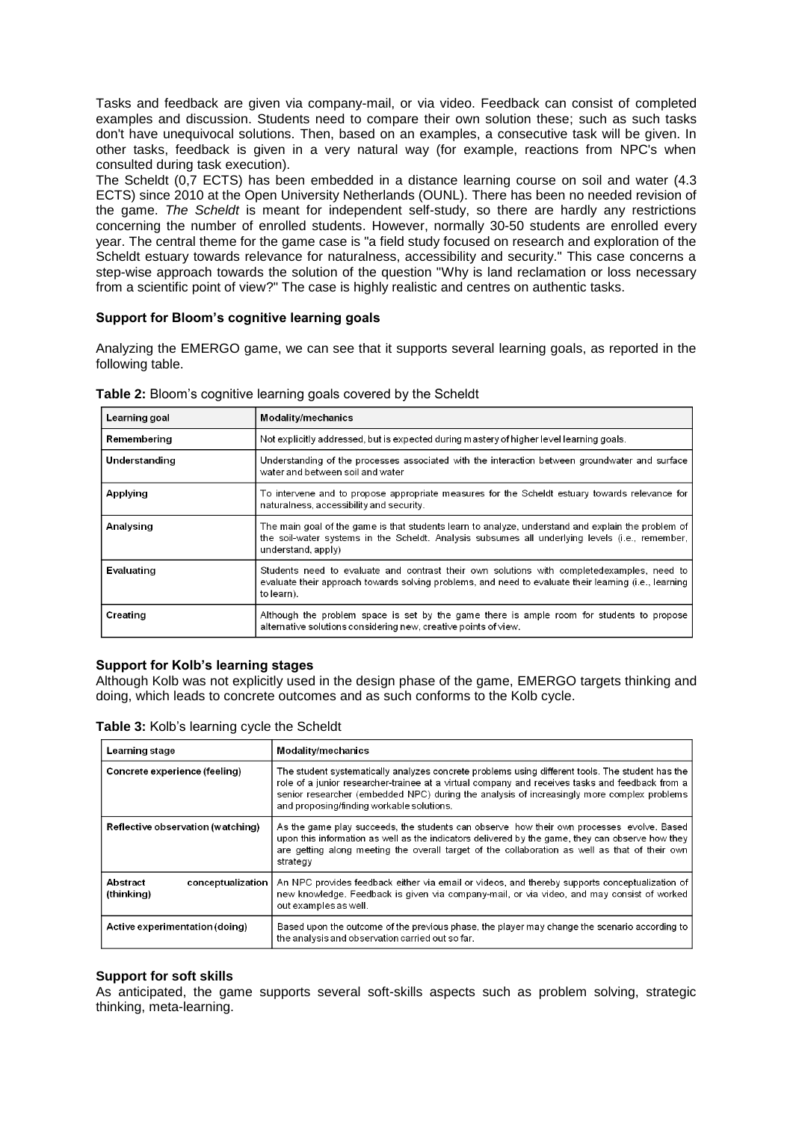Tasks and feedback are given via company-mail, or via video. Feedback can consist of completed examples and discussion. Students need to compare their own solution these; such as such tasks don't have unequivocal solutions. Then, based on an examples, a consecutive task will be given. In other tasks, feedback is given in a very natural way (for example, reactions from NPC's when consulted during task execution).

The Scheldt (0,7 ECTS) has been embedded in a distance learning course on soil and water (4.3 ECTS) since 2010 at the Open University Netherlands (OUNL). There has been no needed revision of the game. *The Scheldt* is meant for independent self-study, so there are hardly any restrictions concerning the number of enrolled students. However, normally 30-50 students are enrolled every year. The central theme for the game case is "a field study focused on research and exploration of the Scheldt estuary towards relevance for naturalness, accessibility and security." This case concerns a step-wise approach towards the solution of the question "Why is land reclamation or loss necessary from a scientific point of view?" The case is highly realistic and centres on authentic tasks.

## **Support for Bloom's cognitive learning goals**

Analyzing the EMERGO game, we can see that it supports several learning goals, as reported in the following table.

| Learning goal | Modality/mechanics                                                                                                                                                                                                          |
|---------------|-----------------------------------------------------------------------------------------------------------------------------------------------------------------------------------------------------------------------------|
| Remembering   | Not explicitly addressed, but is expected during mastery of higher level learning goals.                                                                                                                                    |
| Understanding | Understanding of the processes associated with the interaction between groundwater and surface<br>water and between soil and water                                                                                          |
| Applying      | To intervene and to propose appropriate measures for the Scheldt estuary towards relevance for<br>naturalness, accessibility and security.                                                                                  |
| Analysing     | The main goal of the game is that students learn to analyze, understand and explain the problem of<br>the soil-water systems in the Scheldt. Analysis subsumes all underlying levels (i.e., remember,<br>understand, apply) |
| Evaluating    | Students need to evaluate and contrast their own solutions with completedexamples, need to<br>evaluate their approach towards solving problems, and need to evaluate their learning (i.e., learning<br>to learn).           |
| Creating      | Although the problem space is set by the game there is ample room for students to propose<br>alternative solutions considering new, creative points of view.                                                                |

**Table 2:** Bloom's cognitive learning goals covered by the Scheldt

### **Support for Kolb's learning stages**

Although Kolb was not explicitly used in the design phase of the game, EMERGO targets thinking and doing, which leads to concrete outcomes and as such conforms to the Kolb cycle.

|  |  | Table 3: Kolb's learning cycle the Scheldt |
|--|--|--------------------------------------------|
|--|--|--------------------------------------------|

| Learning stage                                | <b>Modality/mechanics</b>                                                                                                                                                                                                                                                                                                                      |
|-----------------------------------------------|------------------------------------------------------------------------------------------------------------------------------------------------------------------------------------------------------------------------------------------------------------------------------------------------------------------------------------------------|
| Concrete experience (feeling)                 | The student systematically analyzes concrete problems using different tools. The student has the<br>role of a junior researcher-trainee at a virtual company and receives tasks and feedback from a<br>senior researcher (embedded NPC) during the analysis of increasingly more complex problems<br>and proposing/finding workable solutions. |
| Reflective observation (watching)             | As the game play succeeds, the students can observe how their own processes evolve. Based<br>upon this information as well as the indicators delivered by the game, they can observe how they<br>are getting along meeting the overall target of the collaboration as well as that of their own<br>strategy                                    |
| Abstract<br>conceptualization  <br>(thinking) | An NPC provides feedback either via email or videos, and thereby supports conceptualization of<br>new knowledge. Feedback is given via company-mail, or via video, and may consist of worked<br>out examples as well.                                                                                                                          |
| Active experimentation (doing)                | Based upon the outcome of the previous phase, the player may change the scenario according to<br>the analysis and observation carried out so far.                                                                                                                                                                                              |

### **Support for soft skills**

As anticipated, the game supports several soft-skills aspects such as problem solving, strategic thinking, meta-learning.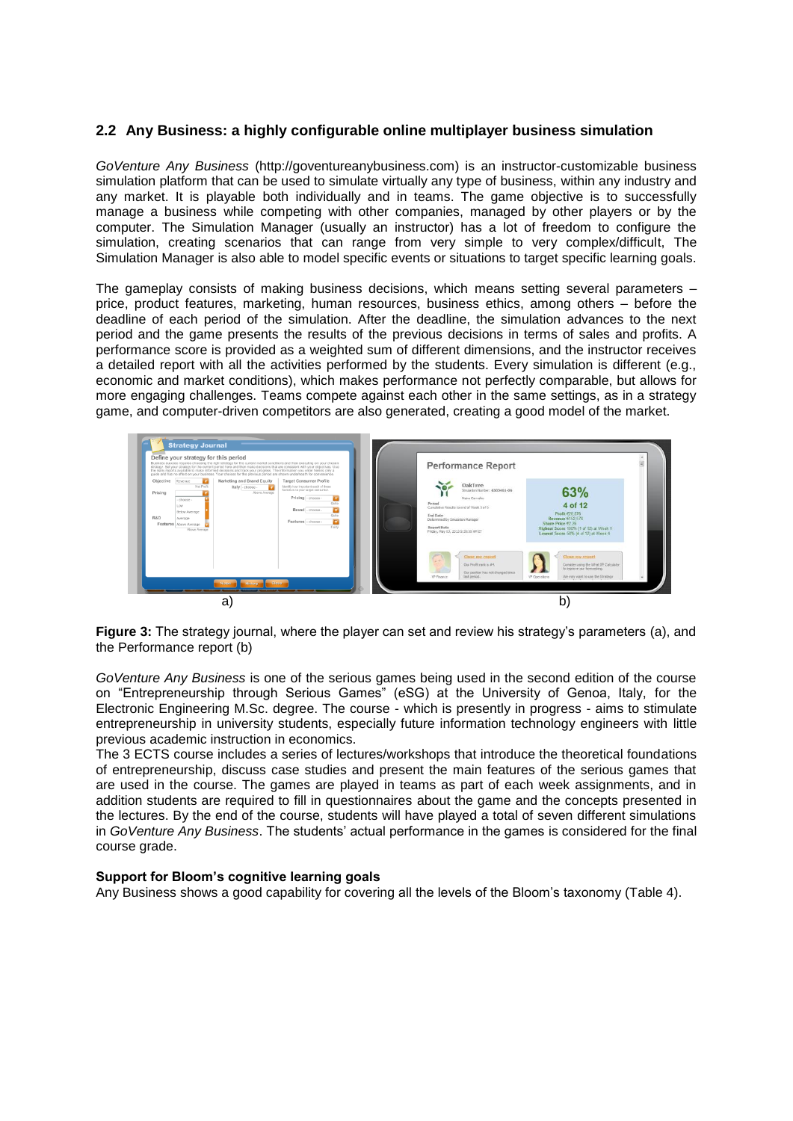## **2.2 Any Business: a highly configurable online multiplayer business simulation**

*GoVenture Any Business* (http://goventureanybusiness.com) is an instructor-customizable business simulation platform that can be used to simulate virtually any type of business, within any industry and any market. It is playable both individually and in teams. The game objective is to successfully manage a business while competing with other companies, managed by other players or by the computer. The Simulation Manager (usually an instructor) has a lot of freedom to configure the simulation, creating scenarios that can range from very simple to very complex/difficult, The Simulation Manager is also able to model specific events or situations to target specific learning goals.

The gameplay consists of making business decisions, which means setting several parameters – price, product features, marketing, human resources, business ethics, among others – before the deadline of each period of the simulation. After the deadline, the simulation advances to the next period and the game presents the results of the previous decisions in terms of sales and profits. A performance score is provided as a weighted sum of different dimensions, and the instructor receives a detailed report with all the activities performed by the students. Every simulation is different (e.g., economic and market conditions), which makes performance not perfectly comparable, but allows for more engaging challenges. Teams compete against each other in the same settings, as in a strategy game, and computer-driven competitors are also generated, creating a good model of the market.



**Figure 3:** The strategy journal, where the player can set and review his strategy's parameters (a), and the Performance report (b)

*GoVenture Any Business* is one of the serious games being used in the second edition of the course on "Entrepreneurship through Serious Games" (eSG) at the University of Genoa, Italy, for the Electronic Engineering M.Sc. degree. The course - which is presently in progress - aims to stimulate entrepreneurship in university students, especially future information technology engineers with little previous academic instruction in economics.

The 3 ECTS course includes a series of lectures/workshops that introduce the theoretical foundations of entrepreneurship, discuss case studies and present the main features of the serious games that are used in the course. The games are played in teams as part of each week assignments, and in addition students are required to fill in questionnaires about the game and the concepts presented in the lectures. By the end of the course, students will have played a total of seven different simulations in *GoVenture Any Business*. The students' actual performance in the games is considered for the final course grade.

### **Support for Bloom's cognitive learning goals**

Any Business shows a good capability for covering all the levels of the Bloom's taxonomy (Table 4).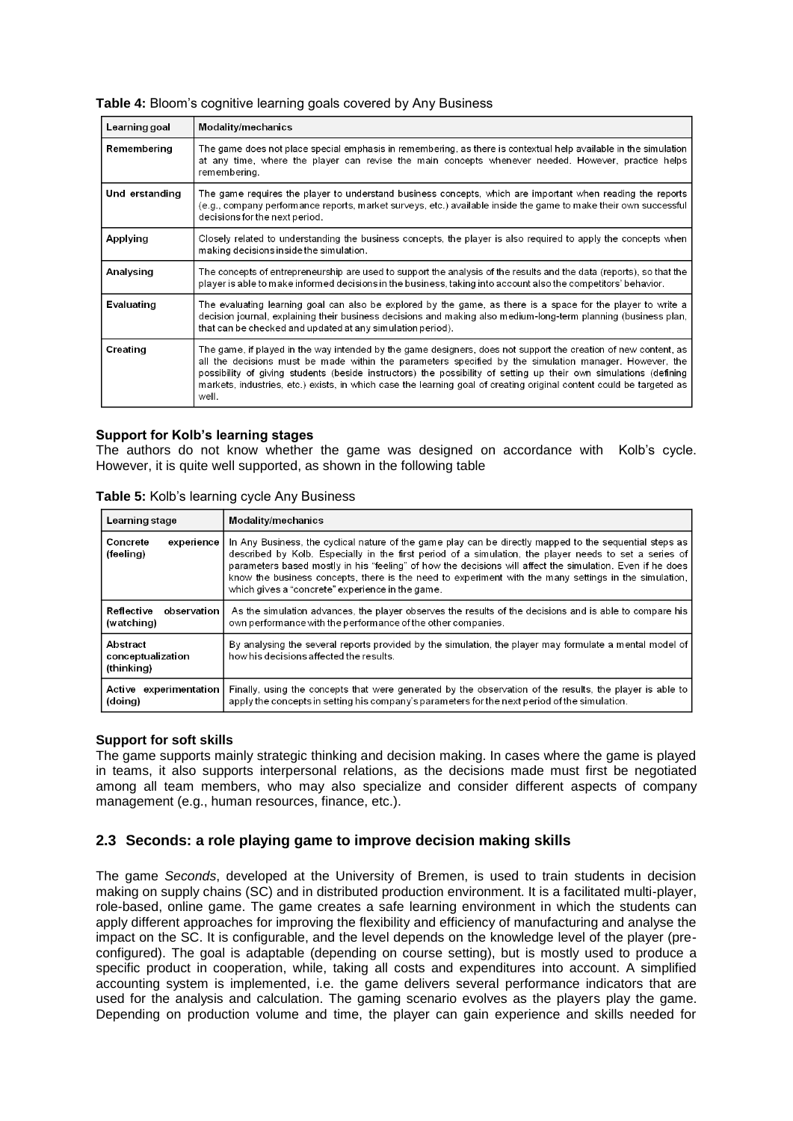| Learning goal  | <b>Modality/mechanics</b>                                                                                                                                                                                                                                                                                                                                                                                                                                                       |
|----------------|---------------------------------------------------------------------------------------------------------------------------------------------------------------------------------------------------------------------------------------------------------------------------------------------------------------------------------------------------------------------------------------------------------------------------------------------------------------------------------|
| Remembering    | The game does not place special emphasis in remembering, as there is contextual help available in the simulation<br>at any time, where the player can revise the main concepts whenever needed. However, practice helps<br>remembering.                                                                                                                                                                                                                                         |
| Und erstanding | The game requires the player to understand business concepts, which are important when reading the reports<br>(e.g., company performance reports, market surveys, etc.) available inside the game to make their own successful<br>decisions for the next period.                                                                                                                                                                                                                |
| Applying       | Closely related to understanding the business concepts, the player is also required to apply the concepts when<br>making decisions inside the simulation.                                                                                                                                                                                                                                                                                                                       |
| Analysing      | The concepts of entrepreneurship are used to support the analysis of the results and the data (reports), so that the<br>player is able to make informed decisions in the business, taking into account also the competitors' behavior.                                                                                                                                                                                                                                          |
| Evaluating     | The evaluating learning goal can also be explored by the game, as there is a space for the player to write a<br>decision journal, explaining their business decisions and making also medium-long-term planning (business plan,<br>that can be checked and updated at any simulation period).                                                                                                                                                                                   |
| Creating       | The game, if played in the way intended by the game designers, does not support the creation of new content, as<br>all the decisions must be made within the parameters specified by the simulation manager. However, the<br>possibility of giving students (beside instructors) the possibility of setting up their own simulations (defining<br>markets, industries, etc.) exists, in which case the learning goal of creating original content could be targeted as<br>well. |

## **Table 4:** Bloom's cognitive learning goals covered by Any Business

### **Support for Kolb's learning stages**

The authors do not know whether the game was designed on accordance with Kolb's cycle. However, it is quite well supported, as shown in the following table

| Learning stage                              | Modality/mechanics                                                                                                                                                                                                                                                                                                                                                                                                                                                                          |
|---------------------------------------------|---------------------------------------------------------------------------------------------------------------------------------------------------------------------------------------------------------------------------------------------------------------------------------------------------------------------------------------------------------------------------------------------------------------------------------------------------------------------------------------------|
| Concrete<br>experience<br>(feeling)         | In Any Business, the cyclical nature of the game play can be directly mapped to the sequential steps as<br>described by Kolb. Especially in the first period of a simulation, the player needs to set a series of<br>parameters based mostly in his "feeling" of how the decisions will affect the simulation. Even if he does<br>know the business concepts, there is the need to experiment with the many settings in the simulation,<br>which gives a "concrete" experience in the game. |
| Reflective<br>observation<br>(watching)     | As the simulation advances, the player observes the results of the decisions and is able to compare his<br>own performance with the performance of the other companies.                                                                                                                                                                                                                                                                                                                     |
| Abstract<br>conceptualization<br>(thinking) | By analysing the several reports provided by the simulation, the player may formulate a mental model of<br>how his decisions affected the results.                                                                                                                                                                                                                                                                                                                                          |
| Active experimentation<br>(doing)           | Finally, using the concepts that were generated by the observation of the results, the player is able to<br>apply the concepts in setting his company's parameters for the next period of the simulation.                                                                                                                                                                                                                                                                                   |

**Table 5:** Kolb's learning cycle Any Business

### **Support for soft skills**

The game supports mainly strategic thinking and decision making. In cases where the game is played in teams, it also supports interpersonal relations, as the decisions made must first be negotiated among all team members, who may also specialize and consider different aspects of company management (e.g., human resources, finance, etc.).

## **2.3 Seconds: a role playing game to improve decision making skills**

The game *Seconds*, developed at the University of Bremen, is used to train students in decision making on supply chains (SC) and in distributed production environment. It is a facilitated multi-player, role-based, online game. The game creates a safe learning environment in which the students can apply different approaches for improving the flexibility and efficiency of manufacturing and analyse the impact on the SC. It is configurable, and the level depends on the knowledge level of the player (preconfigured). The goal is adaptable (depending on course setting), but is mostly used to produce a specific product in cooperation, while, taking all costs and expenditures into account. A simplified accounting system is implemented, i.e. the game delivers several performance indicators that are used for the analysis and calculation. The gaming scenario evolves as the players play the game. Depending on production volume and time, the player can gain experience and skills needed for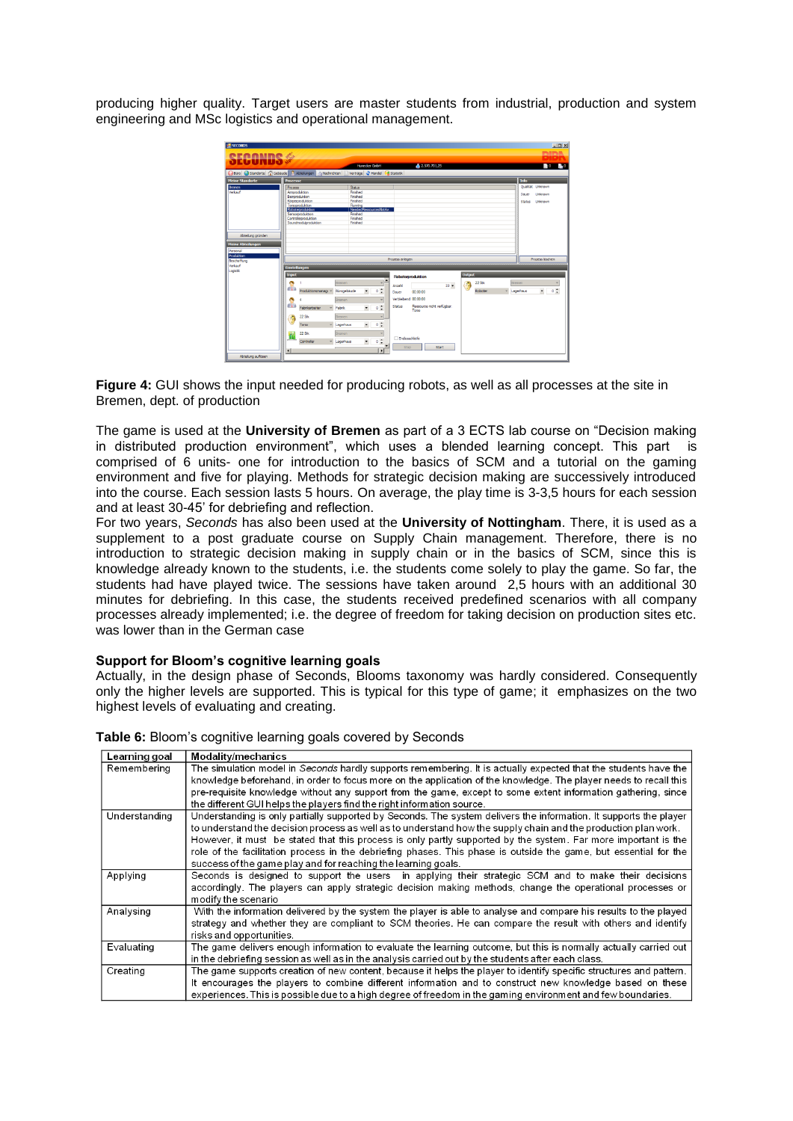producing higher quality. Target users are master students from industrial, production and system engineering and MSc logistics and operational management.



**Figure 4:** GUI shows the input needed for producing robots, as well as all processes at the site in Bremen, dept. of production

The game is used at the **University of Bremen** as part of a 3 ECTS lab course on "Decision making in distributed production environment", which uses a blended learning concept. This part is comprised of 6 units- one for introduction to the basics of SCM and a tutorial on the gaming environment and five for playing. Methods for strategic decision making are successively introduced into the course. Each session lasts 5 hours. On average, the play time is 3-3,5 hours for each session and at least 30-45' for debriefing and reflection.

For two years, *Seconds* has also been used at the **University of Nottingham**. There, it is used as a supplement to a post graduate course on Supply Chain management. Therefore, there is no introduction to strategic decision making in supply chain or in the basics of SCM, since this is knowledge already known to the students, i.e. the students come solely to play the game. So far, the students had have played twice. The sessions have taken around 2,5 hours with an additional 30 minutes for debriefing. In this case, the students received predefined scenarios with all company processes already implemented; i.e. the degree of freedom for taking decision on production sites etc. was lower than in the German case

### **Support for Bloom's cognitive learning goals**

Actually, in the design phase of Seconds, Blooms taxonomy was hardly considered. Consequently only the higher levels are supported. This is typical for this type of game; it emphasizes on the two highest levels of evaluating and creating.

| Learning goal | Modality/mechanics                                                                                                     |
|---------------|------------------------------------------------------------------------------------------------------------------------|
| Remembering   | The simulation model in <i>Seconds</i> hardly supports remembering. It is actually expected that the students have the |
|               | knowledge beforehand, in order to focus more on the application of the knowledge. The player needs to recall this      |
|               | pre-requisite knowledge without any support from the game, except to some extent information gathering, since          |
|               | the different GUI helps the players find the right information source.                                                 |
| Understanding | Understanding is only partially supported by Seconds. The system delivers the information. It supports the player      |
|               | to understand the decision process as well as to understand how the supply chain and the production plan work.         |
|               | However, it must be stated that this process is only partly supported by the system. Far more important is the         |
|               | role of the facilitation process in the debriefing phases. This phase is outside the game, but essential for the       |
|               | success of the game play and for reaching the learning goals.                                                          |
| Applying      | Seconds is designed to support the users in applying their strategic SCM and to make their decisions                   |
|               | accordingly. The players can apply strategic decision making methods, change the operational processes or              |
|               | modify the scenario                                                                                                    |
| Analysing     | With the information delivered by the system the player is able to analyse and compare his results to the played       |
|               | strategy and whether they are compliant to SCM theories. He can compare the result with others and identify            |
|               | risks and opportunities.                                                                                               |
| Evaluating    | The game delivers enough information to evaluate the learning outcome, but this is normally actually carried out       |
|               | in the debriefing session as well as in the analysis carried out by the students after each class.                     |
| Creating      | The game supports creation of new content, because it helps the player to identify specific structures and pattern.    |
|               | It encourages the players to combine different information and to construct new knowledge based on these               |
|               | experiences. This is possible due to a high degree of freedom in the gaming environment and few boundaries.            |

**Table 6:** Bloom's cognitive learning goals covered by Seconds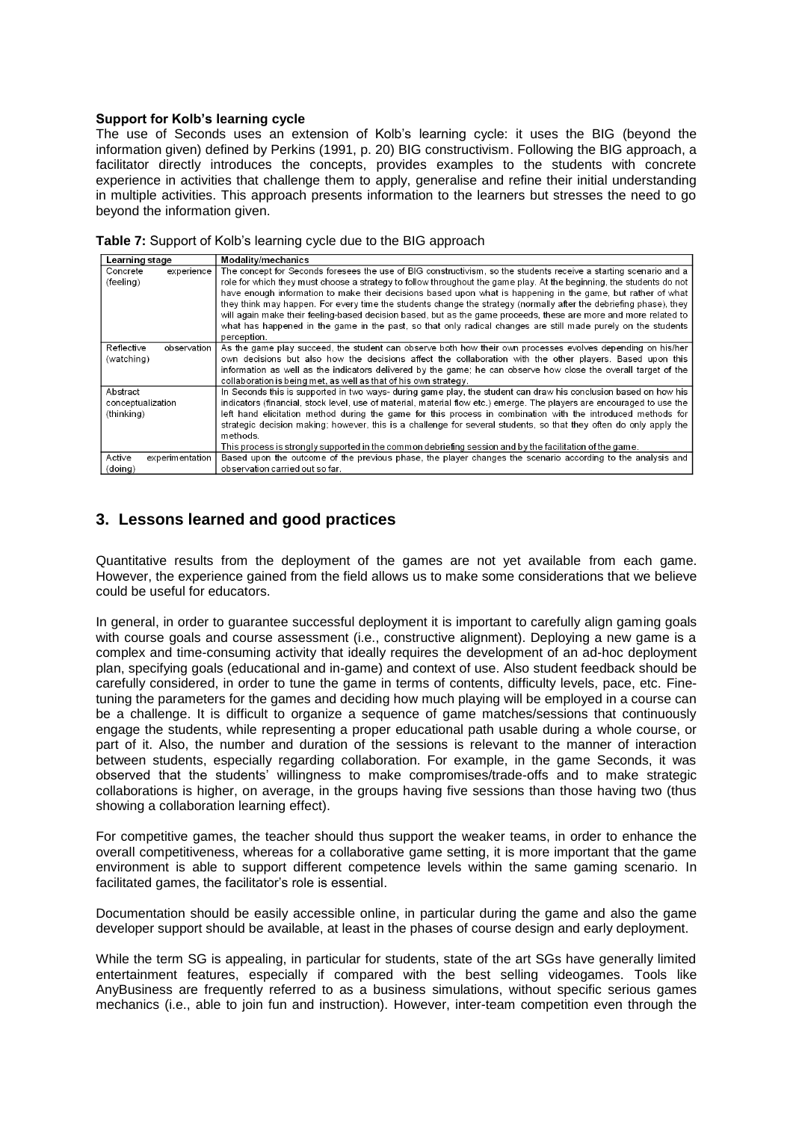#### **Support for Kolb's learning cycle**

The use of Seconds uses an extension of Kolb's learning cycle: it uses the BIG (beyond the information given) defined by Perkins (1991, p. 20) BIG constructivism. Following the BIG approach, a facilitator directly introduces the concepts, provides examples to the students with concrete experience in activities that challenge them to apply, generalise and refine their initial understanding in multiple activities. This approach presents information to the learners but stresses the need to go beyond the information given.

| Learning stage            | <b>Modality/mechanics</b>                                                                                              |
|---------------------------|------------------------------------------------------------------------------------------------------------------------|
| experience<br>Concrete    | The concept for Seconds foresees the use of BIG constructivism, so the students receive a starting scenario and a      |
| (feeling)                 | role for which they must choose a strategy to follow throughout the game play. At the beginning, the students do not   |
|                           | have enough information to make their decisions based upon what is happening in the game, but rather of what           |
|                           | they think may happen. For every time the students change the strategy (normally after the debriefing phase), they     |
|                           | will again make their feeling-based decision based, but as the game proceeds, these are more and more related to       |
|                           | what has happened in the game in the past, so that only radical changes are still made purely on the students          |
|                           | perception.                                                                                                            |
| Reflective<br>observation | As the game play succeed, the student can observe both how their own processes evolves depending on his/her            |
| (watching)                | own decisions but also how the decisions affect the collaboration with the other players. Based upon this              |
|                           | information as well as the indicators delivered by the game; he can observe how close the overall target of the        |
|                           | collaboration is being met, as well as that of his own strategy.                                                       |
| Abstract                  | In Seconds this is supported in two ways- during game play, the student can draw his conclusion based on how his       |
| conceptualization         | indicators (financial, stock level, use of material, material flow etc.) emerge. The players are encouraged to use the |
| (thinking)                | left hand elicitation method during the game for this process in combination with the introduced methods for           |
|                           | strategic decision making; however, this is a challenge for several students, so that they often do only apply the     |
|                           | methods.                                                                                                               |
|                           | This process is strongly supported in the common debriefing session and by the facilitation of the game.               |
| Active<br>experimentation | Based upon the outcome of the previous phase, the player changes the scenario according to the analysis and            |
| (doing)                   | observation carried out so far.                                                                                        |

# **3. Lessons learned and good practices**

Quantitative results from the deployment of the games are not yet available from each game. However, the experience gained from the field allows us to make some considerations that we believe could be useful for educators.

In general, in order to guarantee successful deployment it is important to carefully align gaming goals with course goals and course assessment (i.e., constructive alignment). Deploying a new game is a complex and time-consuming activity that ideally requires the development of an ad-hoc deployment plan, specifying goals (educational and in-game) and context of use. Also student feedback should be carefully considered, in order to tune the game in terms of contents, difficulty levels, pace, etc. Finetuning the parameters for the games and deciding how much playing will be employed in a course can be a challenge. It is difficult to organize a sequence of game matches/sessions that continuously engage the students, while representing a proper educational path usable during a whole course, or part of it. Also, the number and duration of the sessions is relevant to the manner of interaction between students, especially regarding collaboration. For example, in the game Seconds, it was observed that the students' willingness to make compromises/trade-offs and to make strategic collaborations is higher, on average, in the groups having five sessions than those having two (thus showing a collaboration learning effect).

For competitive games, the teacher should thus support the weaker teams, in order to enhance the overall competitiveness, whereas for a collaborative game setting, it is more important that the game environment is able to support different competence levels within the same gaming scenario. In facilitated games, the facilitator's role is essential.

Documentation should be easily accessible online, in particular during the game and also the game developer support should be available, at least in the phases of course design and early deployment.

While the term SG is appealing, in particular for students, state of the art SGs have generally limited entertainment features, especially if compared with the best selling videogames. Tools like AnyBusiness are frequently referred to as a business simulations, without specific serious games mechanics (i.e., able to join fun and instruction). However, inter-team competition even through the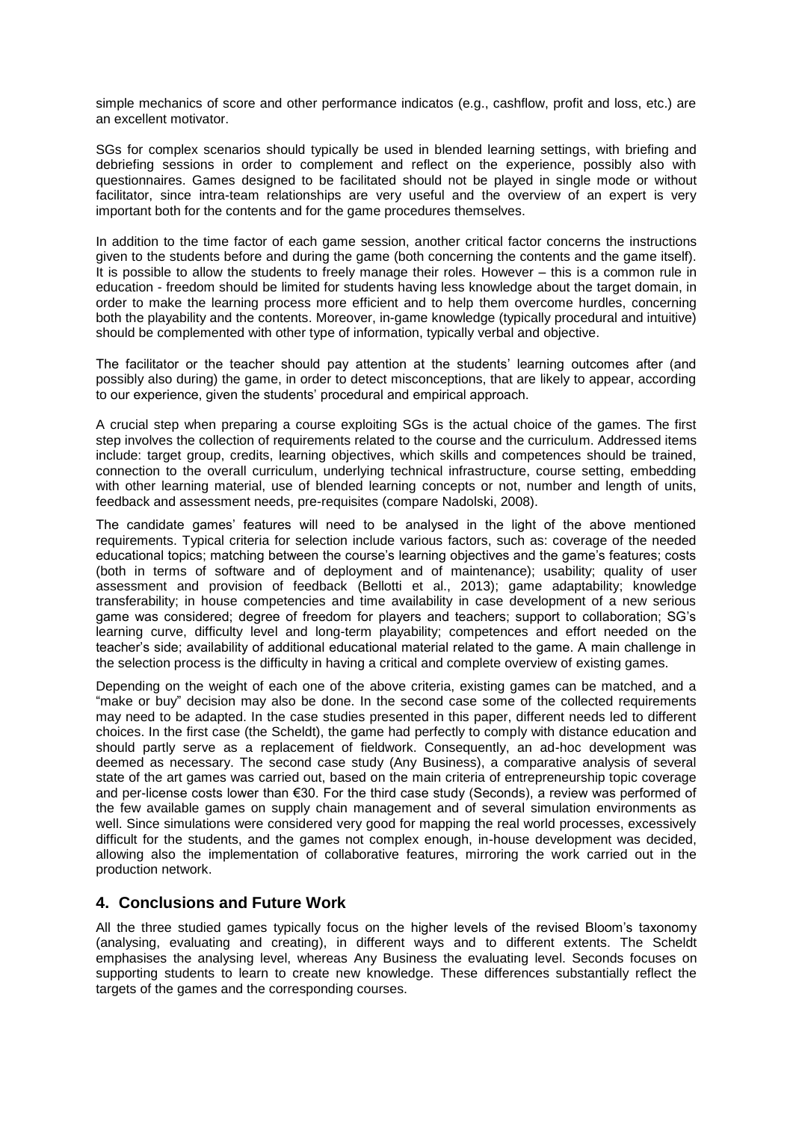simple mechanics of score and other performance indicatos (e.g., cashflow, profit and loss, etc.) are an excellent motivator.

SGs for complex scenarios should typically be used in blended learning settings, with briefing and debriefing sessions in order to complement and reflect on the experience, possibly also with questionnaires. Games designed to be facilitated should not be played in single mode or without facilitator, since intra-team relationships are very useful and the overview of an expert is very important both for the contents and for the game procedures themselves.

In addition to the time factor of each game session, another critical factor concerns the instructions given to the students before and during the game (both concerning the contents and the game itself). It is possible to allow the students to freely manage their roles. However – this is a common rule in education - freedom should be limited for students having less knowledge about the target domain, in order to make the learning process more efficient and to help them overcome hurdles, concerning both the playability and the contents. Moreover, in-game knowledge (typically procedural and intuitive) should be complemented with other type of information, typically verbal and objective.

The facilitator or the teacher should pay attention at the students' learning outcomes after (and possibly also during) the game, in order to detect misconceptions, that are likely to appear, according to our experience, given the students' procedural and empirical approach.

A crucial step when preparing a course exploiting SGs is the actual choice of the games. The first step involves the collection of requirements related to the course and the curriculum. Addressed items include: target group, credits, learning objectives, which skills and competences should be trained, connection to the overall curriculum, underlying technical infrastructure, course setting, embedding with other learning material, use of blended learning concepts or not, number and length of units, feedback and assessment needs, pre-requisites (compare Nadolski, 2008).

The candidate games' features will need to be analysed in the light of the above mentioned requirements. Typical criteria for selection include various factors, such as: coverage of the needed educational topics; matching between the course's learning objectives and the game's features; costs (both in terms of software and of deployment and of maintenance); usability; quality of user assessment and provision of feedback (Bellotti et al., 2013); game adaptability; knowledge transferability; in house competencies and time availability in case development of a new serious game was considered; degree of freedom for players and teachers; support to collaboration; SG's learning curve, difficulty level and long-term playability; competences and effort needed on the teacher's side; availability of additional educational material related to the game. A main challenge in the selection process is the difficulty in having a critical and complete overview of existing games.

Depending on the weight of each one of the above criteria, existing games can be matched, and a "make or buy" decision may also be done. In the second case some of the collected requirements may need to be adapted. In the case studies presented in this paper, different needs led to different choices. In the first case (the Scheldt), the game had perfectly to comply with distance education and should partly serve as a replacement of fieldwork. Consequently, an ad-hoc development was deemed as necessary. The second case study (Any Business), a comparative analysis of several state of the art games was carried out, based on the main criteria of entrepreneurship topic coverage and per-license costs lower than €30. For the third case study (Seconds), a review was performed of the few available games on supply chain management and of several simulation environments as well. Since simulations were considered very good for mapping the real world processes, excessively difficult for the students, and the games not complex enough, in-house development was decided, allowing also the implementation of collaborative features, mirroring the work carried out in the production network.

# **4. Conclusions and Future Work**

All the three studied games typically focus on the higher levels of the revised Bloom's taxonomy (analysing, evaluating and creating), in different ways and to different extents. The Scheldt emphasises the analysing level, whereas Any Business the evaluating level. Seconds focuses on supporting students to learn to create new knowledge. These differences substantially reflect the targets of the games and the corresponding courses.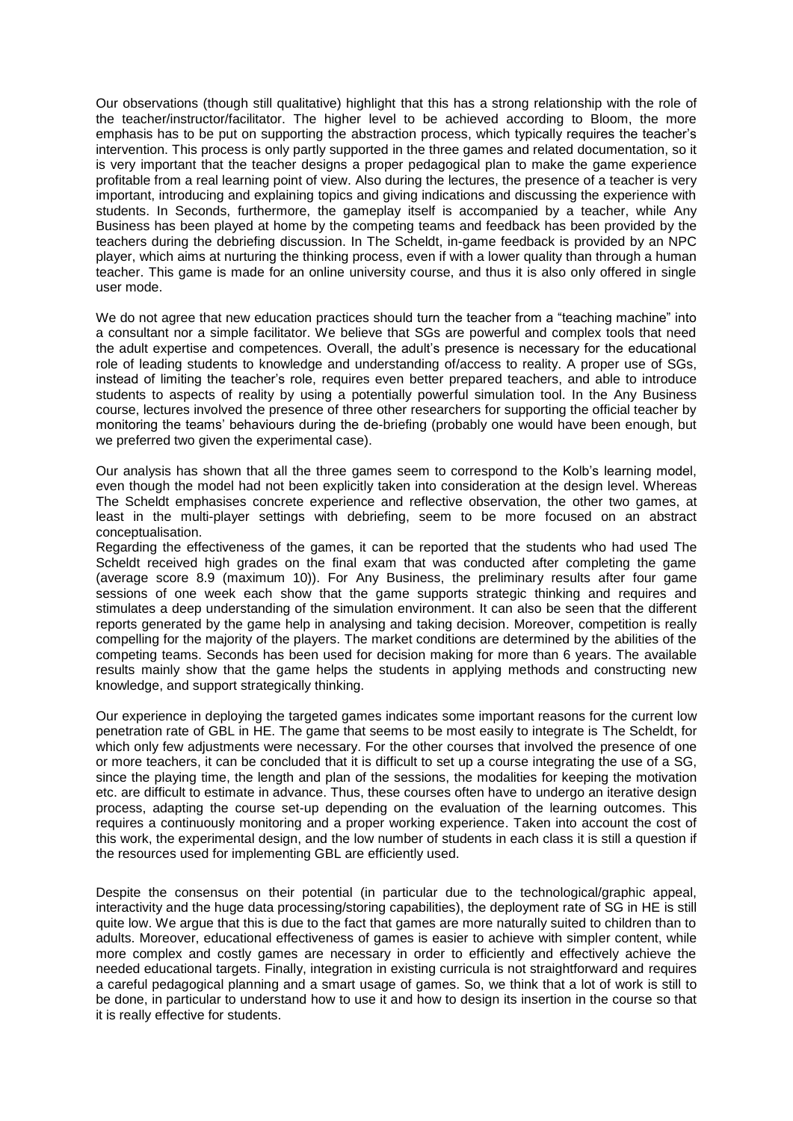Our observations (though still qualitative) highlight that this has a strong relationship with the role of the teacher/instructor/facilitator. The higher level to be achieved according to Bloom, the more emphasis has to be put on supporting the abstraction process, which typically requires the teacher's intervention. This process is only partly supported in the three games and related documentation, so it is very important that the teacher designs a proper pedagogical plan to make the game experience profitable from a real learning point of view. Also during the lectures, the presence of a teacher is very important, introducing and explaining topics and giving indications and discussing the experience with students. In Seconds, furthermore, the gameplay itself is accompanied by a teacher, while Any Business has been played at home by the competing teams and feedback has been provided by the teachers during the debriefing discussion. In The Scheldt, in-game feedback is provided by an NPC player, which aims at nurturing the thinking process, even if with a lower quality than through a human teacher. This game is made for an online university course, and thus it is also only offered in single user mode.

We do not agree that new education practices should turn the teacher from a "teaching machine" into a consultant nor a simple facilitator. We believe that SGs are powerful and complex tools that need the adult expertise and competences. Overall, the adult's presence is necessary for the educational role of leading students to knowledge and understanding of/access to reality. A proper use of SGs, instead of limiting the teacher's role, requires even better prepared teachers, and able to introduce students to aspects of reality by using a potentially powerful simulation tool. In the Any Business course, lectures involved the presence of three other researchers for supporting the official teacher by monitoring the teams' behaviours during the de-briefing (probably one would have been enough, but we preferred two given the experimental case).

Our analysis has shown that all the three games seem to correspond to the Kolb's learning model, even though the model had not been explicitly taken into consideration at the design level. Whereas The Scheldt emphasises concrete experience and reflective observation, the other two games, at least in the multi-player settings with debriefing, seem to be more focused on an abstract conceptualisation.

Regarding the effectiveness of the games, it can be reported that the students who had used The Scheldt received high grades on the final exam that was conducted after completing the game (average score 8.9 (maximum 10)). For Any Business, the preliminary results after four game sessions of one week each show that the game supports strategic thinking and requires and stimulates a deep understanding of the simulation environment. It can also be seen that the different reports generated by the game help in analysing and taking decision. Moreover, competition is really compelling for the majority of the players. The market conditions are determined by the abilities of the competing teams. Seconds has been used for decision making for more than 6 years. The available results mainly show that the game helps the students in applying methods and constructing new knowledge, and support strategically thinking.

Our experience in deploying the targeted games indicates some important reasons for the current low penetration rate of GBL in HE. The game that seems to be most easily to integrate is The Scheldt, for which only few adjustments were necessary. For the other courses that involved the presence of one or more teachers, it can be concluded that it is difficult to set up a course integrating the use of a SG, since the playing time, the length and plan of the sessions, the modalities for keeping the motivation etc. are difficult to estimate in advance. Thus, these courses often have to undergo an iterative design process, adapting the course set-up depending on the evaluation of the learning outcomes. This requires a continuously monitoring and a proper working experience. Taken into account the cost of this work, the experimental design, and the low number of students in each class it is still a question if the resources used for implementing GBL are efficiently used.

Despite the consensus on their potential (in particular due to the technological/graphic appeal, interactivity and the huge data processing/storing capabilities), the deployment rate of SG in HE is still quite low. We argue that this is due to the fact that games are more naturally suited to children than to adults. Moreover, educational effectiveness of games is easier to achieve with simpler content, while more complex and costly games are necessary in order to efficiently and effectively achieve the needed educational targets. Finally, integration in existing curricula is not straightforward and requires a careful pedagogical planning and a smart usage of games. So, we think that a lot of work is still to be done, in particular to understand how to use it and how to design its insertion in the course so that it is really effective for students.